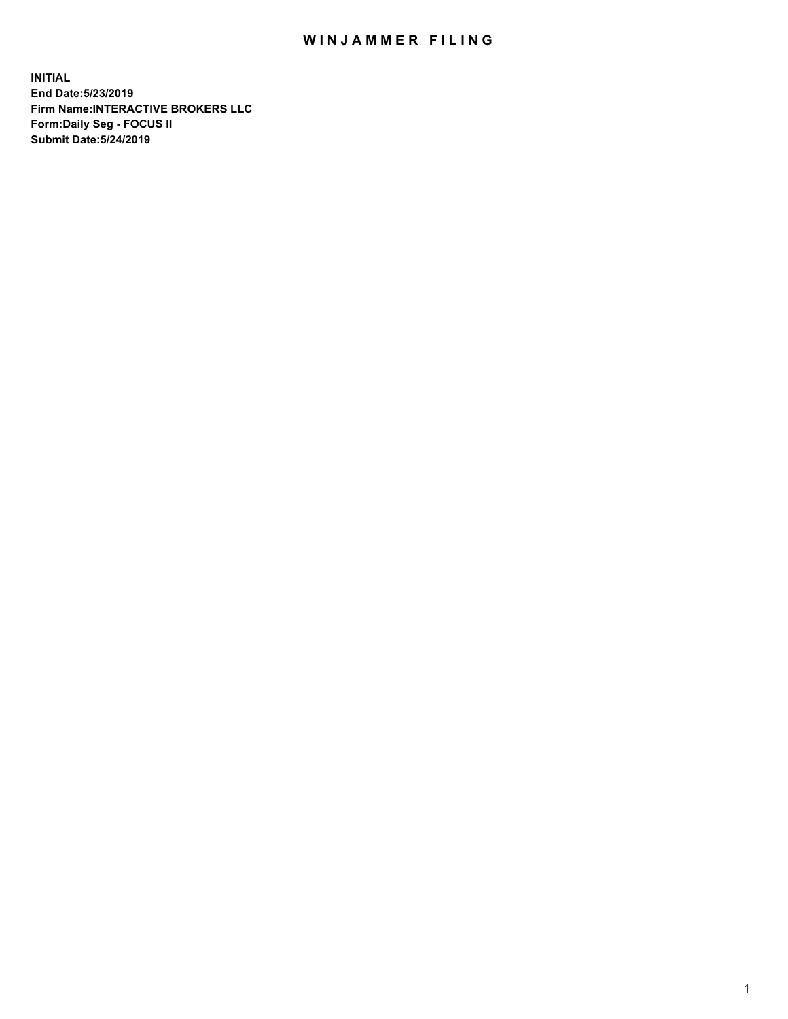## WIN JAMMER FILING

**INITIAL End Date:5/23/2019 Firm Name:INTERACTIVE BROKERS LLC Form:Daily Seg - FOCUS II Submit Date:5/24/2019**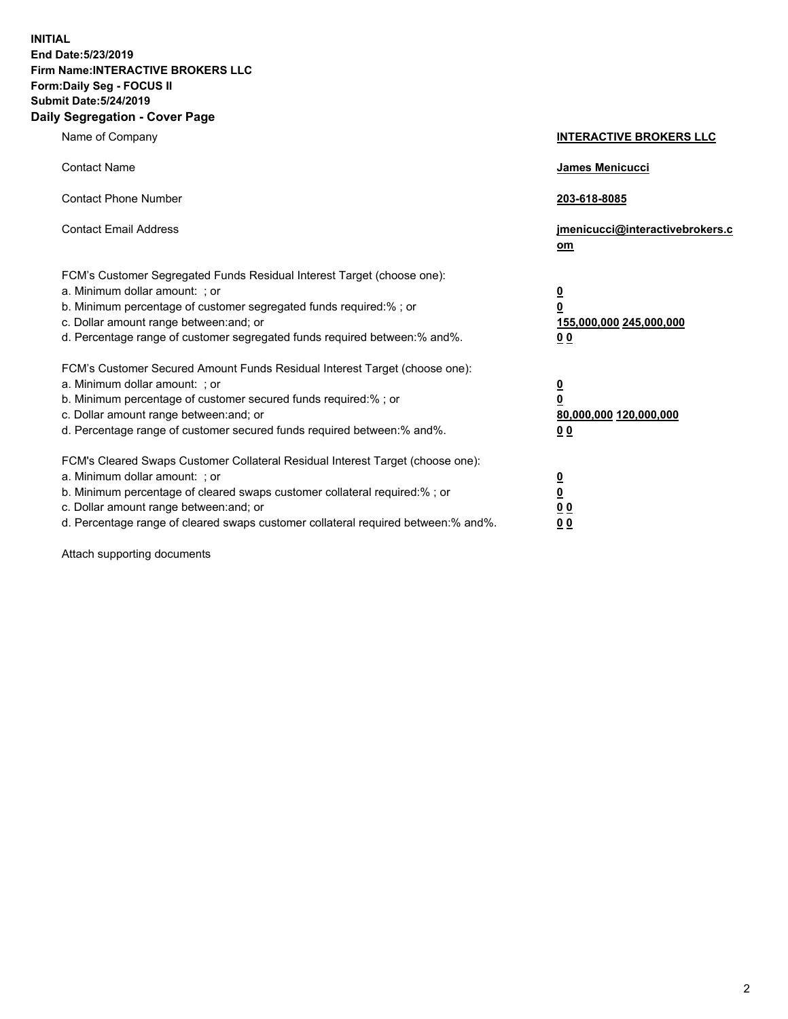**INITIAL End Date:5/23/2019 Firm Name:INTERACTIVE BROKERS LLC Form:Daily Seg - FOCUS II Submit Date:5/24/2019 Daily Segregation - Cover Page**

| Name of Company                                                                                                                                                                                                                                                                                                                | <b>INTERACTIVE BROKERS LLC</b>                                                                  |
|--------------------------------------------------------------------------------------------------------------------------------------------------------------------------------------------------------------------------------------------------------------------------------------------------------------------------------|-------------------------------------------------------------------------------------------------|
| <b>Contact Name</b>                                                                                                                                                                                                                                                                                                            | James Menicucci                                                                                 |
| <b>Contact Phone Number</b>                                                                                                                                                                                                                                                                                                    | 203-618-8085                                                                                    |
| <b>Contact Email Address</b>                                                                                                                                                                                                                                                                                                   | jmenicucci@interactivebrokers.c<br>om                                                           |
| FCM's Customer Segregated Funds Residual Interest Target (choose one):<br>a. Minimum dollar amount: ; or<br>b. Minimum percentage of customer segregated funds required:% ; or<br>c. Dollar amount range between: and; or<br>d. Percentage range of customer segregated funds required between:% and%.                         | $\overline{\mathbf{0}}$<br>$\overline{\mathbf{0}}$<br>155,000,000 245,000,000<br>0 <sub>0</sub> |
| FCM's Customer Secured Amount Funds Residual Interest Target (choose one):<br>a. Minimum dollar amount: ; or<br>b. Minimum percentage of customer secured funds required:% ; or<br>c. Dollar amount range between: and; or<br>d. Percentage range of customer secured funds required between:% and%.                           | $\overline{\mathbf{0}}$<br>0<br>80,000,000 120,000,000<br>0 <sub>0</sub>                        |
| FCM's Cleared Swaps Customer Collateral Residual Interest Target (choose one):<br>a. Minimum dollar amount: ; or<br>b. Minimum percentage of cleared swaps customer collateral required:% ; or<br>c. Dollar amount range between: and; or<br>d. Percentage range of cleared swaps customer collateral required between:% and%. | $\overline{\mathbf{0}}$<br><u>0</u><br>$\underline{0}$ $\underline{0}$<br>00                    |

Attach supporting documents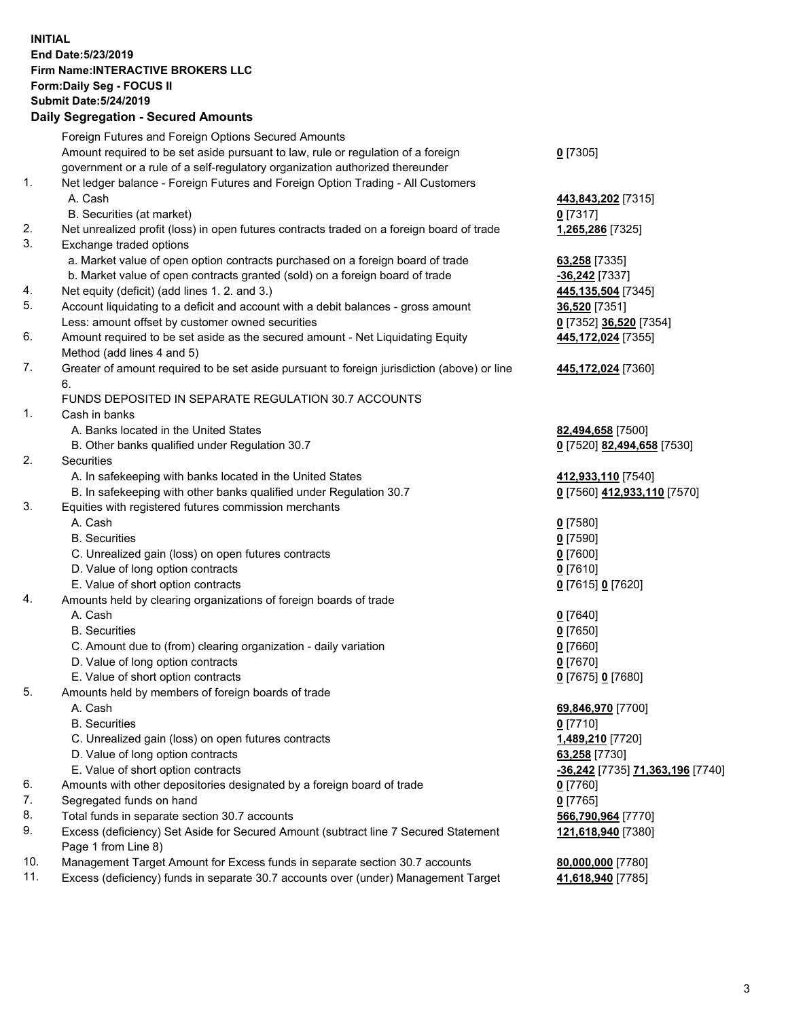## **INITIAL End Date:5/23/2019 Firm Name:INTERACTIVE BROKERS LLC Form:Daily Seg - FOCUS II Submit Date:5/24/2019 Daily Segregation - Secured Amounts**

|                | Daily Segregation - Secured Amounts                                                         |                                  |
|----------------|---------------------------------------------------------------------------------------------|----------------------------------|
|                | Foreign Futures and Foreign Options Secured Amounts                                         |                                  |
|                | Amount required to be set aside pursuant to law, rule or regulation of a foreign            | $0$ [7305]                       |
|                | government or a rule of a self-regulatory organization authorized thereunder                |                                  |
| $\mathbf{1}$ . | Net ledger balance - Foreign Futures and Foreign Option Trading - All Customers             |                                  |
|                | A. Cash                                                                                     | 443,843,202 [7315]               |
|                | B. Securities (at market)                                                                   | $0$ [7317]                       |
| 2.             | Net unrealized profit (loss) in open futures contracts traded on a foreign board of trade   | 1,265,286 [7325]                 |
| 3.             | Exchange traded options                                                                     |                                  |
|                | a. Market value of open option contracts purchased on a foreign board of trade              | 63,258 [7335]                    |
|                | b. Market value of open contracts granted (sold) on a foreign board of trade                | $-36,242$ [7337]                 |
| 4.             | Net equity (deficit) (add lines 1. 2. and 3.)                                               | 445,135,504 [7345]               |
| 5.             | Account liquidating to a deficit and account with a debit balances - gross amount           | 36,520 [7351]                    |
|                | Less: amount offset by customer owned securities                                            | 0 [7352] 36,520 [7354]           |
| 6.             | Amount required to be set aside as the secured amount - Net Liquidating Equity              | 445,172,024 [7355]               |
|                | Method (add lines 4 and 5)                                                                  |                                  |
| 7.             | Greater of amount required to be set aside pursuant to foreign jurisdiction (above) or line | 445,172,024 [7360]               |
|                | 6.                                                                                          |                                  |
|                | FUNDS DEPOSITED IN SEPARATE REGULATION 30.7 ACCOUNTS                                        |                                  |
| 1.             | Cash in banks                                                                               |                                  |
|                | A. Banks located in the United States                                                       | 82,494,658 [7500]                |
|                | B. Other banks qualified under Regulation 30.7                                              | 0 [7520] 82,494,658 [7530]       |
| 2.             | <b>Securities</b>                                                                           |                                  |
|                | A. In safekeeping with banks located in the United States                                   | 412,933,110 [7540]               |
|                | B. In safekeeping with other banks qualified under Regulation 30.7                          | 0 [7560] 412,933,110 [7570]      |
| 3.             | Equities with registered futures commission merchants                                       |                                  |
|                | A. Cash                                                                                     | $0$ [7580]                       |
|                | <b>B.</b> Securities                                                                        | $0$ [7590]                       |
|                | C. Unrealized gain (loss) on open futures contracts                                         | $0$ [7600]                       |
|                | D. Value of long option contracts                                                           | $0$ [7610]                       |
|                | E. Value of short option contracts                                                          | 0 [7615] 0 [7620]                |
| 4.             | Amounts held by clearing organizations of foreign boards of trade<br>A. Cash                |                                  |
|                | <b>B.</b> Securities                                                                        | $0$ [7640]                       |
|                | C. Amount due to (from) clearing organization - daily variation                             | $0$ [7650]<br>$0$ [7660]         |
|                | D. Value of long option contracts                                                           | $0$ [7670]                       |
|                | E. Value of short option contracts                                                          | 0 [7675] 0 [7680]                |
| 5.             | Amounts held by members of foreign boards of trade                                          |                                  |
|                | A. Cash                                                                                     | 69,846,970 [7700]                |
|                | <b>B.</b> Securities                                                                        | $0$ [7710]                       |
|                | C. Unrealized gain (loss) on open futures contracts                                         | 1,489,210 [7720]                 |
|                | D. Value of long option contracts                                                           | 63,258 [7730]                    |
|                | E. Value of short option contracts                                                          | -36,242 [7735] 71,363,196 [7740] |
| 6.             | Amounts with other depositories designated by a foreign board of trade                      | 0 [7760]                         |
| 7.             | Segregated funds on hand                                                                    | $0$ [7765]                       |
| 8.             | Total funds in separate section 30.7 accounts                                               | 566,790,964 [7770]               |
| 9.             | Excess (deficiency) Set Aside for Secured Amount (subtract line 7 Secured Statement         | 121,618,940 [7380]               |
|                | Page 1 from Line 8)                                                                         |                                  |
| 10.            | Management Target Amount for Excess funds in separate section 30.7 accounts                 | 80,000,000 [7780]                |
| 11.            | Excess (deficiency) funds in separate 30.7 accounts over (under) Management Target          | 41,618,940 [7785]                |
|                |                                                                                             |                                  |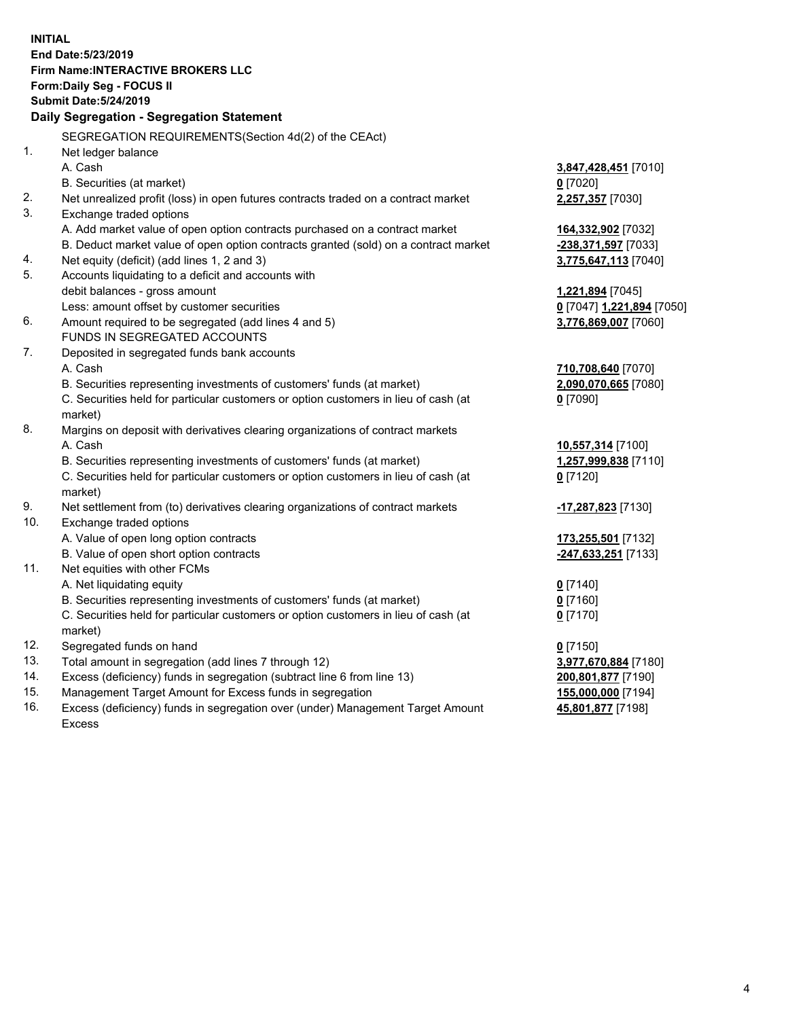**INITIAL End Date:5/23/2019 Firm Name:INTERACTIVE BROKERS LLC Form:Daily Seg - FOCUS II Submit Date:5/24/2019 Daily Segregation - Segregation Statement** SEGREGATION REQUIREMENTS(Section 4d(2) of the CEAct) 1. Net ledger balance A. Cash **3,847,428,451** [7010] B. Securities (at market) **0** [7020] 2. Net unrealized profit (loss) in open futures contracts traded on a contract market **2,257,357** [7030] 3. Exchange traded options A. Add market value of open option contracts purchased on a contract market **164,332,902** [7032] B. Deduct market value of open option contracts granted (sold) on a contract market **-238,371,597** [7033] 4. Net equity (deficit) (add lines 1, 2 and 3) **3,775,647,113** [7040] 5. Accounts liquidating to a deficit and accounts with debit balances - gross amount **1,221,894** [7045] Less: amount offset by customer securities **0** [7047] **1,221,894** [7050] 6. Amount required to be segregated (add lines 4 and 5) **3,776,869,007** [7060] FUNDS IN SEGREGATED ACCOUNTS 7. Deposited in segregated funds bank accounts A. Cash **710,708,640** [7070] B. Securities representing investments of customers' funds (at market) **2,090,070,665** [7080] C. Securities held for particular customers or option customers in lieu of cash (at market) **0** [7090] 8. Margins on deposit with derivatives clearing organizations of contract markets A. Cash **10,557,314** [7100] B. Securities representing investments of customers' funds (at market) **1,257,999,838** [7110] C. Securities held for particular customers or option customers in lieu of cash (at market) **0** [7120] 9. Net settlement from (to) derivatives clearing organizations of contract markets **-17,287,823** [7130] 10. Exchange traded options A. Value of open long option contracts **173,255,501** [7132] B. Value of open short option contracts **-247,633,251** [7133] 11. Net equities with other FCMs A. Net liquidating equity **0** [7140] B. Securities representing investments of customers' funds (at market) **0** [7160] C. Securities held for particular customers or option customers in lieu of cash (at market) **0** [7170] 12. Segregated funds on hand **0** [7150] 13. Total amount in segregation (add lines 7 through 12) **3,977,670,884** [7180] 14. Excess (deficiency) funds in segregation (subtract line 6 from line 13) **200,801,877** [7190] 15. Management Target Amount for Excess funds in segregation **155,000,000** [7194]

16. Excess (deficiency) funds in segregation over (under) Management Target Amount Excess

**45,801,877** [7198]